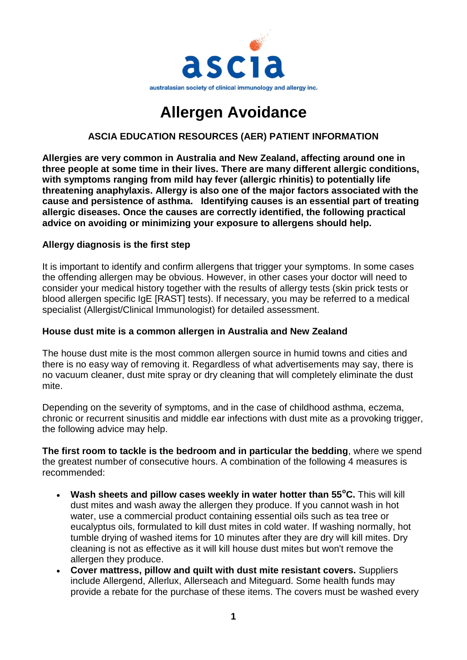

# **Allergen Avoidance**

## **ASCIA EDUCATION RESOURCES (AER) PATIENT INFORMATION**

**Allergies are very common in Australia and New Zealand, affecting around one in three people at some time in their lives. There are many different allergic conditions, with symptoms ranging from mild hay fever (allergic rhinitis) to potentially life threatening anaphylaxis. Allergy is also one of the major factors associated with the cause and persistence of asthma. Identifying causes is an essential part of treating allergic diseases. Once the causes are correctly identified, the following practical advice on avoiding or minimizing your exposure to allergens should help.**

#### **Allergy diagnosis is the first step**

It is important to identify and confirm allergens that trigger your symptoms. In some cases the offending allergen may be obvious. However, in other cases your doctor will need to consider your medical history together with the results of allergy tests (skin prick tests or blood allergen specific IgE [RAST] tests). If necessary, you may be referred to a medical specialist (Allergist/Clinical Immunologist) for detailed assessment.

#### **House dust mite is a common allergen in Australia and New Zealand**

The house dust mite is the most common allergen source in humid towns and cities and there is no easy way of removing it. Regardless of what advertisements may say, there is no vacuum cleaner, dust mite spray or dry cleaning that will completely eliminate the dust mite.

Depending on the severity of symptoms, and in the case of childhood asthma, eczema, chronic or recurrent sinusitis and middle ear infections with dust mite as a provoking trigger, the following advice may help.

**The first room to tackle is the bedroom and in particular the bedding**, where we spend the greatest number of consecutive hours. A combination of the following 4 measures is recommended:

- **Wash sheets and pillow cases weekly in water hotter than 55<sup>o</sup>C.** This will kill dust mites and wash away the allergen they produce. If you cannot wash in hot water, use a commercial product containing essential oils such as tea tree or eucalyptus oils, formulated to kill dust mites in cold water. If washing normally, hot tumble drying of washed items for 10 minutes after they are dry will kill mites. Dry cleaning is not as effective as it will kill house dust mites but won't remove the allergen they produce.
- **Cover mattress, pillow and quilt with dust mite resistant covers.** Suppliers include Allergend, Allerlux, Allerseach and Miteguard. Some health funds may provide a rebate for the purchase of these items. The covers must be washed every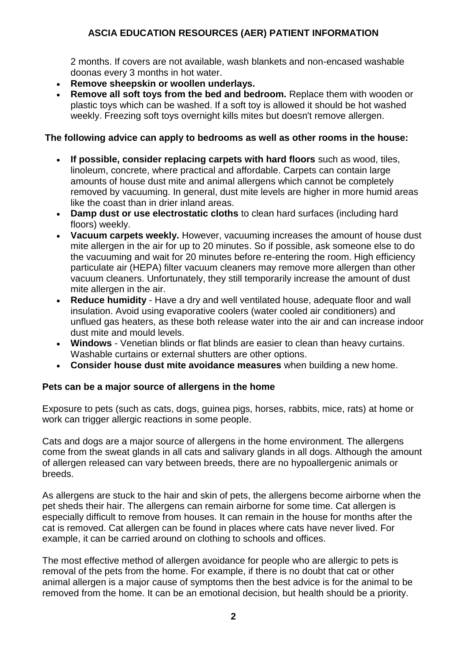# **ASCIA EDUCATION RESOURCES (AER) PATIENT INFORMATION**

2 months. If covers are not available, wash blankets and non-encased washable doonas every 3 months in hot water.

- **Remove sheepskin or woollen underlays.**
- **Remove all soft toys from the bed and bedroom.** Replace them with wooden or plastic toys which can be washed. If a soft toy is allowed it should be hot washed weekly. Freezing soft toys overnight kills mites but doesn't remove allergen.

## **The following advice can apply to bedrooms as well as other rooms in the house:**

- **If possible, consider replacing carpets with hard floors** such as wood, tiles, linoleum, concrete, where practical and affordable. Carpets can contain large amounts of house dust mite and animal allergens which cannot be completely removed by vacuuming. In general, dust mite levels are higher in more humid areas like the coast than in drier inland areas.
- **Damp dust or use electrostatic cloths** to clean hard surfaces (including hard floors) weekly.
- **Vacuum carpets weekly.** However, vacuuming increases the amount of house dust mite allergen in the air for up to 20 minutes. So if possible, ask someone else to do the vacuuming and wait for 20 minutes before re-entering the room. High efficiency particulate air (HEPA) filter vacuum cleaners may remove more allergen than other vacuum cleaners. Unfortunately, they still temporarily increase the amount of dust mite allergen in the air.
- **Reduce humidity** Have a dry and well ventilated house, adequate floor and wall insulation. Avoid using evaporative coolers (water cooled air conditioners) and unflued gas heaters, as these both release water into the air and can increase indoor dust mite and mould levels.
- **Windows** Venetian blinds or flat blinds are easier to clean than heavy curtains. Washable curtains or external shutters are other options.
- **Consider house dust mite avoidance measures** when building a new home.

## **Pets can be a major source of allergens in the home**

Exposure to pets (such as cats, dogs, guinea pigs, horses, rabbits, mice, rats) at home or work can trigger allergic reactions in some people.

Cats and dogs are a major source of allergens in the home environment. The allergens come from the sweat glands in all cats and salivary glands in all dogs. Although the amount of allergen released can vary between breeds, there are no hypoallergenic animals or breeds.

As allergens are stuck to the hair and skin of pets, the allergens become airborne when the pet sheds their hair. The allergens can remain airborne for some time. Cat allergen is especially difficult to remove from houses. It can remain in the house for months after the cat is removed. Cat allergen can be found in places where cats have never lived. For example, it can be carried around on clothing to schools and offices.

The most effective method of allergen avoidance for people who are allergic to pets is removal of the pets from the home. For example, if there is no doubt that cat or other animal allergen is a major cause of symptoms then the best advice is for the animal to be removed from the home. It can be an emotional decision, but health should be a priority.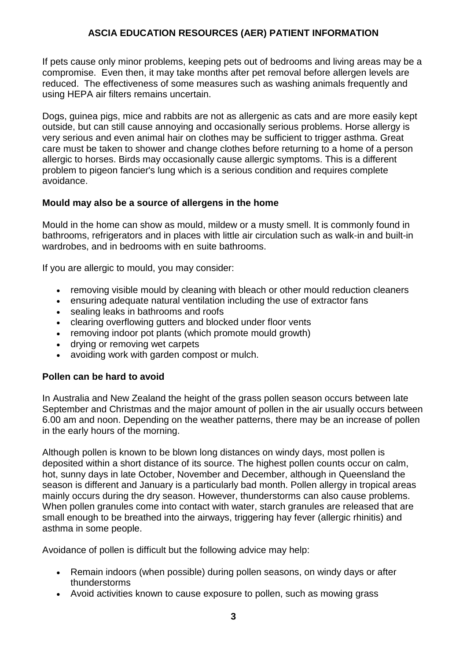## **ASCIA EDUCATION RESOURCES (AER) PATIENT INFORMATION**

If pets cause only minor problems, keeping pets out of bedrooms and living areas may be a compromise. Even then, it may take months after pet removal before allergen levels are reduced. The effectiveness of some measures such as washing animals frequently and using HEPA air filters remains uncertain.

Dogs, guinea pigs, mice and rabbits are not as allergenic as cats and are more easily kept outside, but can still cause annoying and occasionally serious problems. Horse allergy is very serious and even animal hair on clothes may be sufficient to trigger asthma. Great care must be taken to shower and change clothes before returning to a home of a person allergic to horses. Birds may occasionally cause allergic symptoms. This is a different problem to pigeon fancier's lung which is a serious condition and requires complete avoidance.

#### **Mould may also be a source of allergens in the home**

Mould in the home can show as mould, mildew or a musty smell. It is commonly found in bathrooms, refrigerators and in places with little air circulation such as walk-in and built-in wardrobes, and in bedrooms with en suite bathrooms.

If you are allergic to mould, you may consider:

- removing visible mould by cleaning with bleach or other mould reduction cleaners
- ensuring adequate natural ventilation including the use of extractor fans
- sealing leaks in bathrooms and roofs
- clearing overflowing gutters and blocked under floor vents
- removing indoor pot plants (which promote mould growth)
- drying or removing wet carpets
- avoiding work with garden compost or mulch.

## **Pollen can be hard to avoid**

In Australia and New Zealand the height of the grass pollen season occurs between late September and Christmas and the major amount of pollen in the air usually occurs between 6.00 am and noon. Depending on the weather patterns, there may be an increase of pollen in the early hours of the morning.

Although pollen is known to be blown long distances on windy days, most pollen is deposited within a short distance of its source. The highest pollen counts occur on calm, hot, sunny days in late October, November and December, although in Queensland the season is different and January is a particularly bad month. Pollen allergy in tropical areas mainly occurs during the dry season. However, thunderstorms can also cause problems. When pollen granules come into contact with water, starch granules are released that are small enough to be breathed into the airways, triggering hay fever (allergic rhinitis) and asthma in some people.

Avoidance of pollen is difficult but the following advice may help:

- Remain indoors (when possible) during pollen seasons, on windy days or after thunderstorms
- Avoid activities known to cause exposure to pollen, such as mowing grass